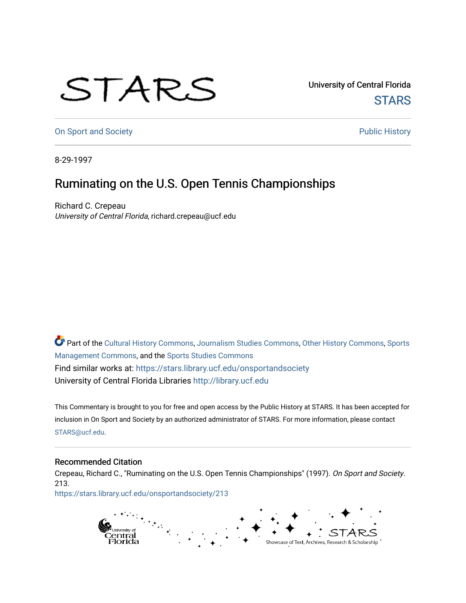## STARS

University of Central Florida **STARS** 

[On Sport and Society](https://stars.library.ucf.edu/onsportandsociety) **Public History** Public History

8-29-1997

## Ruminating on the U.S. Open Tennis Championships

Richard C. Crepeau University of Central Florida, richard.crepeau@ucf.edu

Part of the [Cultural History Commons](http://network.bepress.com/hgg/discipline/496?utm_source=stars.library.ucf.edu%2Fonsportandsociety%2F213&utm_medium=PDF&utm_campaign=PDFCoverPages), [Journalism Studies Commons,](http://network.bepress.com/hgg/discipline/333?utm_source=stars.library.ucf.edu%2Fonsportandsociety%2F213&utm_medium=PDF&utm_campaign=PDFCoverPages) [Other History Commons,](http://network.bepress.com/hgg/discipline/508?utm_source=stars.library.ucf.edu%2Fonsportandsociety%2F213&utm_medium=PDF&utm_campaign=PDFCoverPages) [Sports](http://network.bepress.com/hgg/discipline/1193?utm_source=stars.library.ucf.edu%2Fonsportandsociety%2F213&utm_medium=PDF&utm_campaign=PDFCoverPages) [Management Commons](http://network.bepress.com/hgg/discipline/1193?utm_source=stars.library.ucf.edu%2Fonsportandsociety%2F213&utm_medium=PDF&utm_campaign=PDFCoverPages), and the [Sports Studies Commons](http://network.bepress.com/hgg/discipline/1198?utm_source=stars.library.ucf.edu%2Fonsportandsociety%2F213&utm_medium=PDF&utm_campaign=PDFCoverPages) Find similar works at: <https://stars.library.ucf.edu/onsportandsociety> University of Central Florida Libraries [http://library.ucf.edu](http://library.ucf.edu/) 

This Commentary is brought to you for free and open access by the Public History at STARS. It has been accepted for inclusion in On Sport and Society by an authorized administrator of STARS. For more information, please contact [STARS@ucf.edu](mailto:STARS@ucf.edu).

## Recommended Citation

Crepeau, Richard C., "Ruminating on the U.S. Open Tennis Championships" (1997). On Sport and Society. 213.

[https://stars.library.ucf.edu/onsportandsociety/213](https://stars.library.ucf.edu/onsportandsociety/213?utm_source=stars.library.ucf.edu%2Fonsportandsociety%2F213&utm_medium=PDF&utm_campaign=PDFCoverPages)

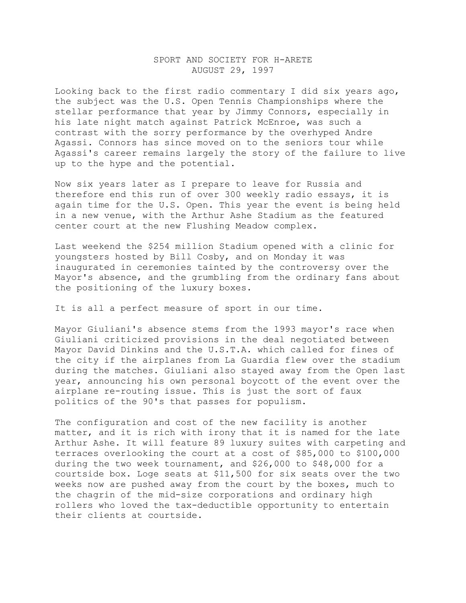## SPORT AND SOCIETY FOR H-ARETE AUGUST 29, 1997

Looking back to the first radio commentary I did six years ago, the subject was the U.S. Open Tennis Championships where the stellar performance that year by Jimmy Connors, especially in his late night match against Patrick McEnroe, was such a contrast with the sorry performance by the overhyped Andre Agassi. Connors has since moved on to the seniors tour while Agassi's career remains largely the story of the failure to live up to the hype and the potential.

Now six years later as I prepare to leave for Russia and therefore end this run of over 300 weekly radio essays, it is again time for the U.S. Open. This year the event is being held in a new venue, with the Arthur Ashe Stadium as the featured center court at the new Flushing Meadow complex.

Last weekend the \$254 million Stadium opened with a clinic for youngsters hosted by Bill Cosby, and on Monday it was inaugurated in ceremonies tainted by the controversy over the Mayor's absence, and the grumbling from the ordinary fans about the positioning of the luxury boxes.

It is all a perfect measure of sport in our time.

Mayor Giuliani's absence stems from the 1993 mayor's race when Giuliani criticized provisions in the deal negotiated between Mayor David Dinkins and the U.S.T.A. which called for fines of the city if the airplanes from La Guardia flew over the stadium during the matches. Giuliani also stayed away from the Open last year, announcing his own personal boycott of the event over the airplane re-routing issue. This is just the sort of faux politics of the 90's that passes for populism.

The configuration and cost of the new facility is another matter, and it is rich with irony that it is named for the late Arthur Ashe. It will feature 89 luxury suites with carpeting and terraces overlooking the court at a cost of \$85,000 to \$100,000 during the two week tournament, and \$26,000 to \$48,000 for a courtside box. Loge seats at \$11,500 for six seats over the two weeks now are pushed away from the court by the boxes, much to the chagrin of the mid-size corporations and ordinary high rollers who loved the tax-deductible opportunity to entertain their clients at courtside.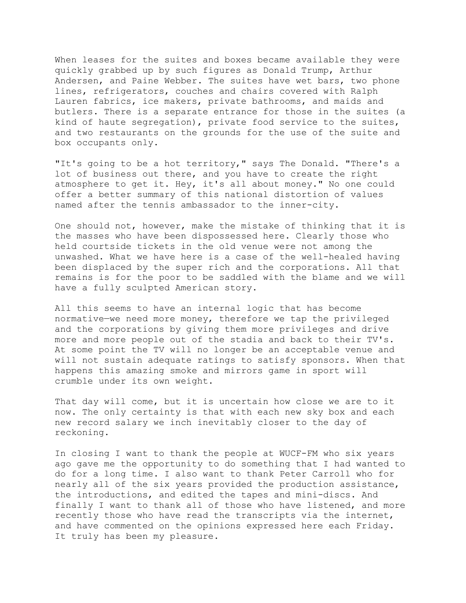When leases for the suites and boxes became available they were quickly grabbed up by such figures as Donald Trump, Arthur Andersen, and Paine Webber. The suites have wet bars, two phone lines, refrigerators, couches and chairs covered with Ralph Lauren fabrics, ice makers, private bathrooms, and maids and butlers. There is a separate entrance for those in the suites (a kind of haute segregation), private food service to the suites, and two restaurants on the grounds for the use of the suite and box occupants only.

"It's going to be a hot territory," says The Donald. "There's a lot of business out there, and you have to create the right atmosphere to get it. Hey, it's all about money." No one could offer a better summary of this national distortion of values named after the tennis ambassador to the inner-city.

One should not, however, make the mistake of thinking that it is the masses who have been dispossessed here. Clearly those who held courtside tickets in the old venue were not among the unwashed. What we have here is a case of the well-healed having been displaced by the super rich and the corporations. All that remains is for the poor to be saddled with the blame and we will have a fully sculpted American story.

All this seems to have an internal logic that has become normative—we need more money, therefore we tap the privileged and the corporations by giving them more privileges and drive more and more people out of the stadia and back to their TV's. At some point the TV will no longer be an acceptable venue and will not sustain adequate ratings to satisfy sponsors. When that happens this amazing smoke and mirrors game in sport will crumble under its own weight.

That day will come, but it is uncertain how close we are to it now. The only certainty is that with each new sky box and each new record salary we inch inevitably closer to the day of reckoning.

In closing I want to thank the people at WUCF-FM who six years ago gave me the opportunity to do something that I had wanted to do for a long time. I also want to thank Peter Carroll who for nearly all of the six years provided the production assistance, the introductions, and edited the tapes and mini-discs. And finally I want to thank all of those who have listened, and more recently those who have read the transcripts via the internet, and have commented on the opinions expressed here each Friday. It truly has been my pleasure.